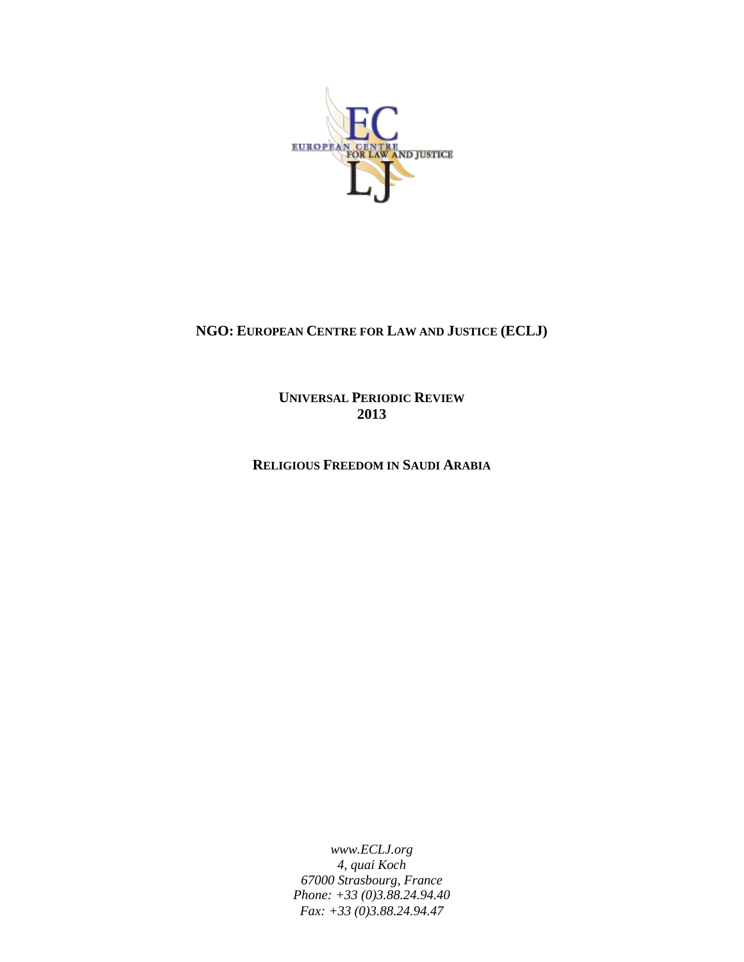

# **NGO: EUROPEAN CENTRE FOR LAW AND JUSTICE (ECLJ)**

**UNIVERSAL PERIODIC REVIEW 2013**

**RELIGIOUS FREEDOM IN SAUDI ARABIA**

*www.ECLJ.org 4, quai Koch 67000 Strasbourg, France Phone: +33 (0)3.88.24.94.40 Fax: +33 (0)3.88.24.94.47*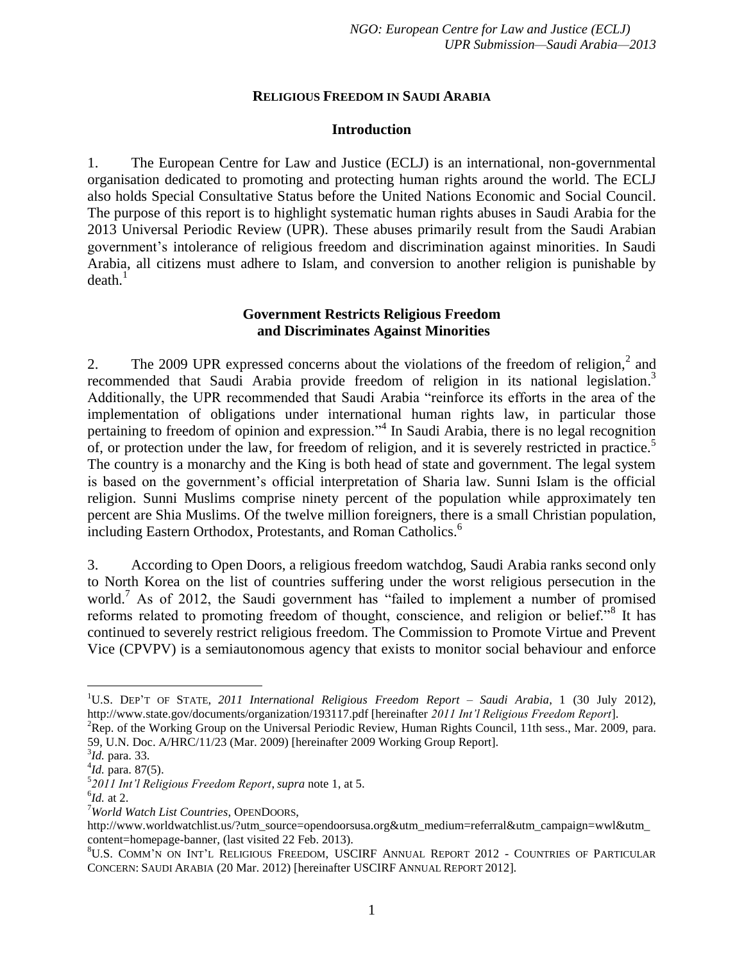#### **RELIGIOUS FREEDOM IN SAUDI ARABIA**

#### <span id="page-1-1"></span>**Introduction**

1. The European Centre for Law and Justice (ECLJ) is an international, non-governmental organisation dedicated to promoting and protecting human rights around the world. The ECLJ also holds Special Consultative Status before the United Nations Economic and Social Council. The purpose of this report is to highlight systematic human rights abuses in Saudi Arabia for the 2013 Universal Periodic Review (UPR). These abuses primarily result from the Saudi Arabian government's intolerance of religious freedom and discrimination against minorities. In Saudi Arabia, all citizens must adhere to Islam, and conversion to another religion is punishable by  $death<sup>1</sup>$ 

### <span id="page-1-2"></span>**Government Restricts Religious Freedom and Discriminates Against Minorities**

<span id="page-1-0"></span>2. The 2009 UPR expressed concerns about the violations of the freedom of religion, $2$  and recommended that Saudi Arabia provide freedom of religion in its national legislation.<sup>3</sup> Additionally, the UPR recommended that Saudi Arabia "reinforce its efforts in the area of the implementation of obligations under international human rights law, in particular those pertaining to freedom of opinion and expression."<sup>4</sup> In Saudi Arabia, there is no legal recognition of, or protection under the law, for freedom of religion, and it is severely restricted in practice.<sup>5</sup> The country is a monarchy and the King is both head of state and government. The legal system is based on the government's official interpretation of Sharia law. Sunni Islam is the official religion. Sunni Muslims comprise ninety percent of the population while approximately ten percent are Shia Muslims. Of the twelve million foreigners, there is a small Christian population, including Eastern Orthodox, Protestants, and Roman Catholics.<sup>6</sup>

3. According to Open Doors, a religious freedom watchdog, Saudi Arabia ranks second only to North Korea on the list of countries suffering under the worst religious persecution in the world.<sup>7</sup> As of 2012, the Saudi government has "failed to implement a number of promised reforms related to promoting freedom of thought, conscience, and religion or belief."<sup>8</sup> It has continued to severely restrict religious freedom. The Commission to Promote Virtue and Prevent Vice (CPVPV) is a semiautonomous agency that exists to monitor social behaviour and enforce

 $\overline{a}$ 

<sup>1</sup>U.S. DEP'T OF STATE, *2011 International Religious Freedom Report – Saudi Arabia*, 1 (30 July 2012), http://www.state.gov/documents/organization/193117.pdf [hereinafter *2011 Int'l Religious Freedom Report*].

<sup>&</sup>lt;sup>2</sup>Rep. of the Working Group on the Universal Periodic Review, Human Rights Council, 11th sess., Mar. 2009, para. 59, U.N. Doc. A/HRC/11/23 (Mar. 2009) [hereinafter 2009 Working Group Report].

<sup>3</sup> *Id.* para. 33.

<sup>4</sup> *Id.* para. 87(5).

<sup>5</sup> *2011 Int'l Religious Freedom Report*, *supra* note [1,](#page-1-0) at 5.

<sup>6</sup> *Id.* at 2.

<sup>7</sup>*World Watch List Countries*, OPENDOORS,

http://www.worldwatchlist.us/?utm\_source=opendoorsusa.org&utm\_medium=referral&utm\_campaign=wwl&utm\_ content=homepage-banner, (last visited 22 Feb. 2013).

<sup>8</sup>U.S. COMM'N ON INT'L RELIGIOUS FREEDOM, USCIRF ANNUAL REPORT 2012 - COUNTRIES OF PARTICULAR CONCERN: SAUDI ARABIA (20 Mar. 2012) [hereinafter USCIRF ANNUAL REPORT 2012].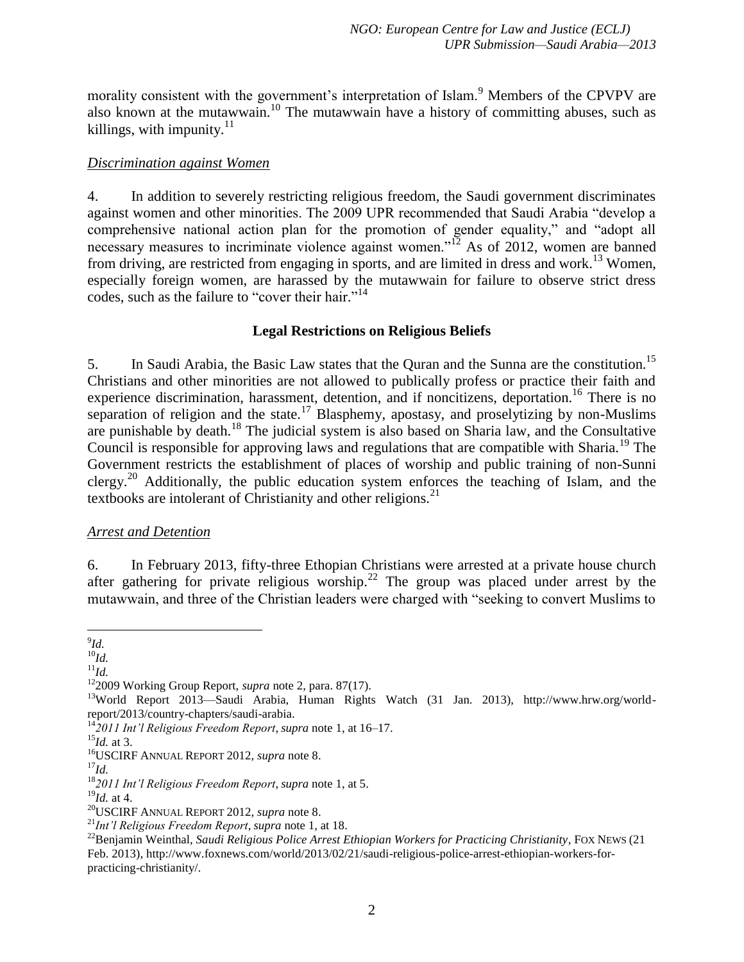morality consistent with the government's interpretation of Islam.<sup>9</sup> Members of the CPVPV are also known at the mutawwain.<sup>10</sup> The mutawwain have a history of committing abuses, such as killings, with impunity. $11$ 

## *Discrimination against Women*

4. In addition to severely restricting religious freedom, the Saudi government discriminates against women and other minorities. The 2009 UPR recommended that Saudi Arabia "develop a comprehensive national action plan for the promotion of gender equality," and "adopt all necessary measures to incriminate violence against women."<sup>12</sup> As of 2012, women are banned from driving, are restricted from engaging in sports, and are limited in dress and work.<sup>13</sup> Women, especially foreign women, are harassed by the mutawwain for failure to observe strict dress codes, such as the failure to "cover their hair." 14

## <span id="page-2-0"></span>**Legal Restrictions on Religious Beliefs**

5. In Saudi Arabia, the Basic Law states that the Quran and the Sunna are the constitution.<sup>15</sup> Christians and other minorities are not allowed to publically profess or practice their faith and experience discrimination, harassment, detention, and if noncitizens, deportation.<sup>16</sup> There is no separation of religion and the state.<sup>17</sup> Blasphemy, apostasy, and proselytizing by non-Muslims are punishable by death.<sup>18</sup> The judicial system is also based on Sharia law, and the Consultative Council is responsible for approving laws and regulations that are compatible with Sharia.<sup>19</sup> The Government restricts the establishment of places of worship and public training of non-Sunni clergy.<sup>20</sup> Additionally, the public education system enforces the teaching of Islam, and the textbooks are intolerant of Christianity and other religions.<sup>21</sup>

## *Arrest and Detention*

6. In February 2013, fifty-three Ethopian Christians were arrested at a private house church after gathering for private religious worship.<sup>22</sup> The group was placed under arrest by the mutawwain, and three of the Christian leaders were charged with "seeking to convert Muslims to

 9 *Id.*

<sup>10</sup>*Id.*

<sup>11</sup>*Id.*

<sup>12</sup>2009 Working Group Report, *supra* note [2,](#page-1-1) para. 87(17).

<sup>&</sup>lt;sup>13</sup>World Report 2013—Saudi Arabia, Human Rights Watch (31 Jan. 2013), http://www.hrw.org/worldreport/2013/country-chapters/saudi-arabia.

<sup>14</sup>*2011 Int'l Religious Freedom Report*, *supra* note [1,](#page-1-0) at 16–17.

<sup>15</sup>*Id.* at 3.

<sup>16</sup>USCIRF ANNUAL REPORT 2012, *supra* not[e 8.](#page-1-2)

 $^{17}$ *Id.* 

<sup>18</sup>*2011 Int'l Religious Freedom Report*, *supra* note [1,](#page-1-0) at 5.

<sup>19</sup>*Id.* at 4.

<sup>20</sup>USCIRF ANNUAL REPORT 2012, *supra* not[e 8.](#page-1-2)

<sup>21</sup>*Int'l Religious Freedom Report*, *supra* note [1,](#page-1-0) at 18.

<sup>&</sup>lt;sup>22</sup>Benjamin Weinthal, *Saudi Religious Police Arrest Ethiopian Workers for Practicing Christianity*, FOX NEWS (21 Feb. 2013), http://www.foxnews.com/world/2013/02/21/saudi-religious-police-arrest-ethiopian-workers-forpracticing-christianity/.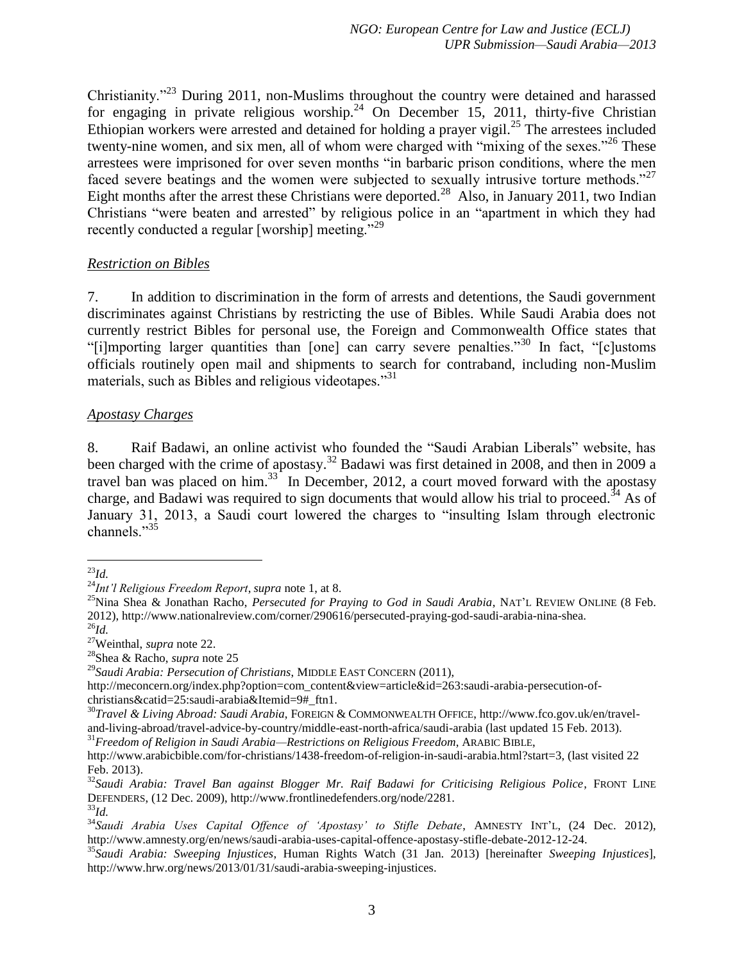<span id="page-3-0"></span>Christianity."<sup>23</sup> During 2011, non-Muslims throughout the country were detained and harassed for engaging in private religious worship.<sup>24</sup> On December 15, 2011, thirty-five Christian Ethiopian workers were arrested and detained for holding a prayer vigil.<sup>25</sup> The arrestees included twenty-nine women, and six men, all of whom were charged with "mixing of the sexes."<sup>26</sup> These arrestees were imprisoned for over seven months "in barbaric prison conditions, where the men faced severe beatings and the women were subjected to sexually intrusive torture methods."<sup>27</sup> Eight months after the arrest these Christians were deported.<sup>28</sup> Also, in January 2011, two Indian Christians "were beaten and arrested" by religious police in an "apartment in which they had recently conducted a regular [worship] meeting."<sup>29</sup>

## *Restriction on Bibles*

7. In addition to discrimination in the form of arrests and detentions, the Saudi government discriminates against Christians by restricting the use of Bibles. While Saudi Arabia does not currently restrict Bibles for personal use, the Foreign and Commonwealth Office states that "[i]mporting larger quantities than [one] can carry severe penalties."<sup>30</sup> In fact, "[c]ustoms officials routinely open mail and shipments to search for contraband, including non-Muslim materials, such as Bibles and religious videotapes.<sup>31</sup>

## *Apostasy Charges*

8. Raif Badawi, an online activist who founded the "Saudi Arabian Liberals" website, has been charged with the crime of apostasy.<sup>32</sup> Badawi was first detained in 2008, and then in 2009 a travel ban was placed on him.<sup>33</sup> In December, 2012, a court moved forward with the apostasy charge, and Badawi was required to sign documents that would allow his trial to proceed.<sup>34</sup> As of January 31, 2013, a Saudi court lowered the charges to "insulting Islam through electronic channels."<sup>35</sup>

<sup>31</sup>*Freedom of Religion in Saudi Arabia—Restrictions on Religious Freedom*, ARABIC BIBLE,

<span id="page-3-1"></span> $\overline{a}$ <sup>23</sup>*Id.*

<sup>24</sup>*Int'l Religious Freedom Report*, *supra* note [1,](#page-1-0) at 8.

<sup>&</sup>lt;sup>25</sup>Nina Shea & Jonathan Racho, *Persecuted for Praying to God in Saudi Arabia*, NAT'L REVIEW ONLINE (8 Feb. 2012), http://www.nationalreview.com/corner/290616/persecuted-praying-god-saudi-arabia-nina-shea. <sup>26</sup>*Id.*

<sup>27</sup>Weinthal, *supra* note [22.](#page-2-0)

<sup>28</sup>Shea & Racho, *supra* note [25](#page-3-0)

<sup>29</sup>*Saudi Arabia: Persecution of Christians*, MIDDLE EAST CONCERN (2011),

http://meconcern.org/index.php?option=com\_content&view=article&id=263:saudi-arabia-persecution-ofchristians&catid=25:saudi-arabia&Itemid=9#\_ftn1.

<sup>30</sup>*Travel & Living Abroad: Saudi Arabia*, FOREIGN & COMMONWEALTH OFFICE, http://www.fco.gov.uk/en/traveland-living-abroad/travel-advice-by-country/middle-east-north-africa/saudi-arabia (last updated 15 Feb. 2013).

http://www.arabicbible.com/for-christians/1438-freedom-of-religion-in-saudi-arabia.html?start=3, (last visited 22 Feb. 2013).

<sup>32</sup>*Saudi Arabia: Travel Ban against Blogger Mr. Raif Badawi for Criticising Religious Police*, FRONT LINE DEFENDERS, (12 Dec. 2009), http://www.frontlinedefenders.org/node/2281.

<sup>33</sup>*Id.*

<sup>34</sup>*Saudi Arabia Uses Capital Offence of 'Apostasy' to Stifle Debate*, AMNESTY INT'L, (24 Dec. 2012), http://www.amnesty.org/en/news/saudi-arabia-uses-capital-offence-apostasy-stifle-debate-2012-12-24.

<sup>35</sup>*Saudi Arabia: Sweeping Injustices*, Human Rights Watch (31 Jan. 2013) [hereinafter *Sweeping Injustices*], http://www.hrw.org/news/2013/01/31/saudi-arabia-sweeping-injustices.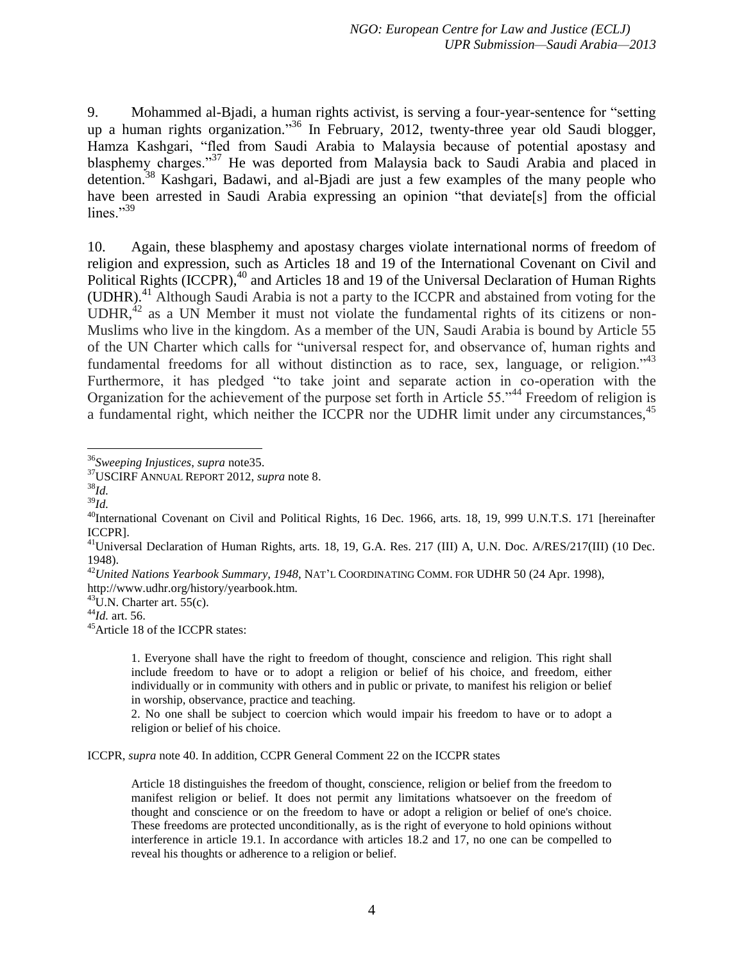9. Mohammed al-Bjadi, a human rights activist, is serving a four-year-sentence for "setting up a human rights organization." <sup>36</sup> In February, 2012, twenty-three year old Saudi blogger, Hamza Kashgari, "fled from Saudi Arabia to Malaysia because of potential apostasy and blasphemy charges."<sup>37</sup> He was deported from Malaysia back to Saudi Arabia and placed in detention. <sup>38</sup> Kashgari, Badawi, and al-Bjadi are just a few examples of the many people who have been arrested in Saudi Arabia expressing an opinion "that deviate<sup>[5]</sup> from the official lines." $39$ 

<span id="page-4-0"></span>10. Again, these blasphemy and apostasy charges violate international norms of freedom of religion and expression, such as Articles 18 and 19 of the International Covenant on Civil and Political Rights (ICCPR),<sup>40</sup> and Articles 18 and 19 of the Universal Declaration of Human Rights (UDHR). <sup>41</sup> Although Saudi Arabia is not a party to the ICCPR and abstained from voting for the UDHR, $42$  as a UN Member it must not violate the fundamental rights of its citizens or non-Muslims who live in the kingdom. As a member of the UN, Saudi Arabia is bound by Article 55 of the UN Charter which calls for "universal respect for, and observance of, human rights and fundamental freedoms for all without distinction as to race, sex, language, or religion.<sup> $43$ </sup> Furthermore, it has pledged "to take joint and separate action in co-operation with the Organization for the achievement of the purpose set forth in Article 55."<sup>44</sup> Freedom of religion is a fundamental right, which neither the ICCPR nor the UDHR limit under any circumstances, <sup>45</sup>

<sup>45</sup>Article 18 of the ICCPR states:

1. Everyone shall have the right to freedom of thought, conscience and religion. This right shall include freedom to have or to adopt a religion or belief of his choice, and freedom, either individually or in community with others and in public or private, to manifest his religion or belief in worship, observance, practice and teaching.

2. No one shall be subject to coercion which would impair his freedom to have or to adopt a religion or belief of his choice.

ICCPR, *supra* note [40.](#page-4-0) In addition, CCPR General Comment 22 on the ICCPR states

Article 18 distinguishes the freedom of thought, conscience, religion or belief from the freedom to manifest religion or belief. It does not permit any limitations whatsoever on the freedom of thought and conscience or on the freedom to have or adopt a religion or belief of one's choice. These freedoms are protected unconditionally, as is the right of everyone to hold opinions without interference in article 19.1. In accordance with articles 18.2 and 17, no one can be compelled to reveal his thoughts or adherence to a religion or belief.

 $\overline{a}$ <sup>36</sup>*Sweeping Injustices*, *supra* not[e35.](#page-3-1)

<sup>37</sup>USCIRF ANNUAL REPORT 2012, *supra* not[e 8.](#page-1-2)

<sup>38</sup>*Id.*

<sup>39</sup>*Id.*

<sup>&</sup>lt;sup>40</sup>International Covenant on Civil and Political Rights, 16 Dec. 1966, arts. 18, 19, 999 U.N.T.S. 171 [hereinafter ICCPR].

<sup>41</sup>Universal Declaration of Human Rights, arts. 18, 19, G.A. Res. 217 (III) A, U.N. Doc. A/RES/217(III) (10 Dec. 1948).

<sup>42</sup>*United Nations Yearbook Summary, 1948*, NAT'L COORDINATING COMM. FOR UDHR 50 (24 Apr. 1998), http://www.udhr.org/history/yearbook.htm.

 $^{43}$ U.N. Charter art. 55(c).

<sup>44</sup>*Id.* art. 56.